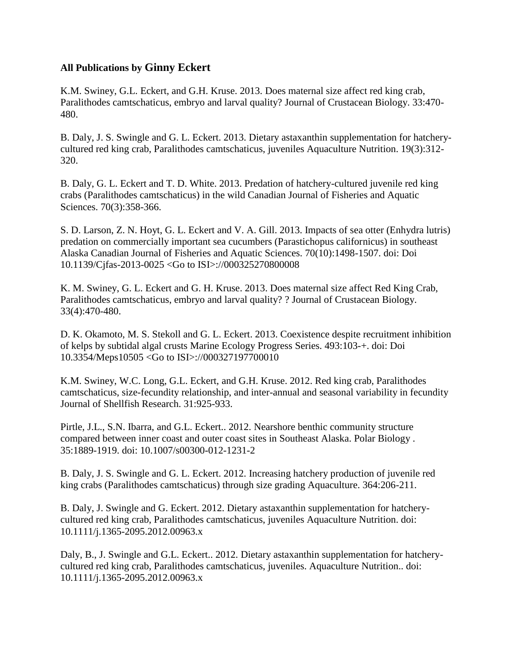## **All Publications by Ginny Eckert**

K.M. Swiney, G.L. Eckert, and G.H. Kruse. 2013. Does maternal size affect red king crab, Paralithodes camtschaticus, embryo and larval quality? Journal of Crustacean Biology. 33:470- 480.

B. Daly, J. S. Swingle and G. L. Eckert. 2013. Dietary astaxanthin supplementation for hatcherycultured red king crab, Paralithodes camtschaticus, juveniles Aquaculture Nutrition. 19(3):312- 320.

B. Daly, G. L. Eckert and T. D. White. 2013. Predation of hatchery-cultured juvenile red king crabs (Paralithodes camtschaticus) in the wild Canadian Journal of Fisheries and Aquatic Sciences. 70(3):358-366.

S. D. Larson, Z. N. Hoyt, G. L. Eckert and V. A. Gill. 2013. Impacts of sea otter (Enhydra lutris) predation on commercially important sea cucumbers (Parastichopus californicus) in southeast Alaska Canadian Journal of Fisheries and Aquatic Sciences. 70(10):1498-1507. doi: Doi 10.1139/Cjfas-2013-0025 <Go to ISI>://000325270800008

K. M. Swiney, G. L. Eckert and G. H. Kruse. 2013. Does maternal size affect Red King Crab, Paralithodes camtschaticus, embryo and larval quality? ? Journal of Crustacean Biology. 33(4):470-480.

D. K. Okamoto, M. S. Stekoll and G. L. Eckert. 2013. Coexistence despite recruitment inhibition of kelps by subtidal algal crusts Marine Ecology Progress Series. 493:103-+. doi: Doi 10.3354/Meps10505 <Go to ISI>://000327197700010

K.M. Swiney, W.C. Long, G.L. Eckert, and G.H. Kruse. 2012. Red king crab, Paralithodes camtschaticus, size-fecundity relationship, and inter-annual and seasonal variability in fecundity Journal of Shellfish Research. 31:925-933.

Pirtle, J.L., S.N. Ibarra, and G.L. Eckert.. 2012. Nearshore benthic community structure compared between inner coast and outer coast sites in Southeast Alaska. Polar Biology . 35:1889-1919. doi: 10.1007/s00300-012-1231-2

B. Daly, J. S. Swingle and G. L. Eckert. 2012. Increasing hatchery production of juvenile red king crabs (Paralithodes camtschaticus) through size grading Aquaculture. 364:206-211.

B. Daly, J. Swingle and G. Eckert. 2012. Dietary astaxanthin supplementation for hatcherycultured red king crab, Paralithodes camtschaticus, juveniles Aquaculture Nutrition. doi: 10.1111/j.1365-2095.2012.00963.x

Daly, B., J. Swingle and G.L. Eckert.. 2012. Dietary astaxanthin supplementation for hatcherycultured red king crab, Paralithodes camtschaticus, juveniles. Aquaculture Nutrition.. doi: 10.1111/j.1365-2095.2012.00963.x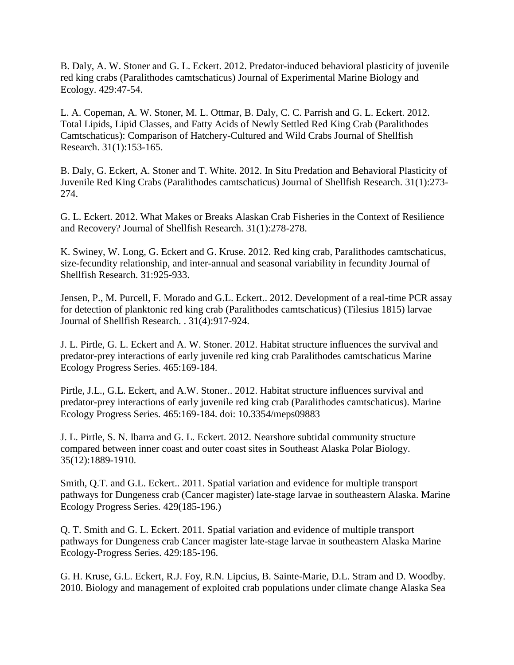B. Daly, A. W. Stoner and G. L. Eckert. 2012. Predator-induced behavioral plasticity of juvenile red king crabs (Paralithodes camtschaticus) Journal of Experimental Marine Biology and Ecology. 429:47-54.

L. A. Copeman, A. W. Stoner, M. L. Ottmar, B. Daly, C. C. Parrish and G. L. Eckert. 2012. Total Lipids, Lipid Classes, and Fatty Acids of Newly Settled Red King Crab (Paralithodes Camtschaticus): Comparison of Hatchery-Cultured and Wild Crabs Journal of Shellfish Research. 31(1):153-165.

B. Daly, G. Eckert, A. Stoner and T. White. 2012. In Situ Predation and Behavioral Plasticity of Juvenile Red King Crabs (Paralithodes camtschaticus) Journal of Shellfish Research. 31(1):273- 274.

G. L. Eckert. 2012. What Makes or Breaks Alaskan Crab Fisheries in the Context of Resilience and Recovery? Journal of Shellfish Research. 31(1):278-278.

K. Swiney, W. Long, G. Eckert and G. Kruse. 2012. Red king crab, Paralithodes camtschaticus, size-fecundity relationship, and inter-annual and seasonal variability in fecundity Journal of Shellfish Research. 31:925-933.

Jensen, P., M. Purcell, F. Morado and G.L. Eckert.. 2012. Development of a real-time PCR assay for detection of planktonic red king crab (Paralithodes camtschaticus) (Tilesius 1815) larvae Journal of Shellfish Research. . 31(4):917-924.

J. L. Pirtle, G. L. Eckert and A. W. Stoner. 2012. Habitat structure influences the survival and predator-prey interactions of early juvenile red king crab Paralithodes camtschaticus Marine Ecology Progress Series. 465:169-184.

Pirtle, J.L., G.L. Eckert, and A.W. Stoner.. 2012. Habitat structure influences survival and predator-prey interactions of early juvenile red king crab (Paralithodes camtschaticus). Marine Ecology Progress Series. 465:169-184. doi: 10.3354/meps09883

J. L. Pirtle, S. N. Ibarra and G. L. Eckert. 2012. Nearshore subtidal community structure compared between inner coast and outer coast sites in Southeast Alaska Polar Biology. 35(12):1889-1910.

Smith, Q.T. and G.L. Eckert.. 2011. Spatial variation and evidence for multiple transport pathways for Dungeness crab (Cancer magister) late-stage larvae in southeastern Alaska. Marine Ecology Progress Series. 429(185-196.)

Q. T. Smith and G. L. Eckert. 2011. Spatial variation and evidence of multiple transport pathways for Dungeness crab Cancer magister late-stage larvae in southeastern Alaska Marine Ecology-Progress Series. 429:185-196.

G. H. Kruse, G.L. Eckert, R.J. Foy, R.N. Lipcius, B. Sainte-Marie, D.L. Stram and D. Woodby. 2010. Biology and management of exploited crab populations under climate change Alaska Sea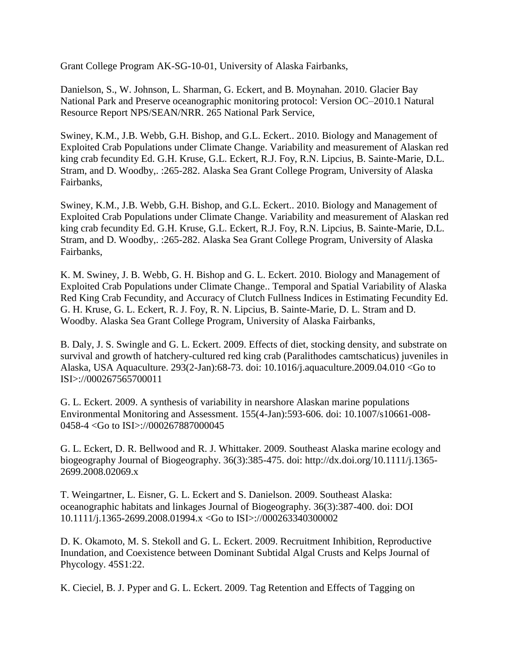Grant College Program AK-SG-10-01, University of Alaska Fairbanks,

Danielson, S., W. Johnson, L. Sharman, G. Eckert, and B. Moynahan. 2010. Glacier Bay National Park and Preserve oceanographic monitoring protocol: Version OC–2010.1 Natural Resource Report NPS/SEAN/NRR. 265 National Park Service,

Swiney, K.M., J.B. Webb, G.H. Bishop, and G.L. Eckert.. 2010. Biology and Management of Exploited Crab Populations under Climate Change. Variability and measurement of Alaskan red king crab fecundity Ed. G.H. Kruse, G.L. Eckert, R.J. Foy, R.N. Lipcius, B. Sainte-Marie, D.L. Stram, and D. Woodby,. :265-282. Alaska Sea Grant College Program, University of Alaska Fairbanks,

Swiney, K.M., J.B. Webb, G.H. Bishop, and G.L. Eckert.. 2010. Biology and Management of Exploited Crab Populations under Climate Change. Variability and measurement of Alaskan red king crab fecundity Ed. G.H. Kruse, G.L. Eckert, R.J. Foy, R.N. Lipcius, B. Sainte-Marie, D.L. Stram, and D. Woodby,. :265-282. Alaska Sea Grant College Program, University of Alaska Fairbanks,

K. M. Swiney, J. B. Webb, G. H. Bishop and G. L. Eckert. 2010. Biology and Management of Exploited Crab Populations under Climate Change.. Temporal and Spatial Variability of Alaska Red King Crab Fecundity, and Accuracy of Clutch Fullness Indices in Estimating Fecundity Ed. G. H. Kruse, G. L. Eckert, R. J. Foy, R. N. Lipcius, B. Sainte-Marie, D. L. Stram and D. Woodby. Alaska Sea Grant College Program, University of Alaska Fairbanks,

B. Daly, J. S. Swingle and G. L. Eckert. 2009. Effects of diet, stocking density, and substrate on survival and growth of hatchery-cultured red king crab (Paralithodes camtschaticus) juveniles in Alaska, USA Aquaculture. 293(2-Jan):68-73. doi: 10.1016/j.aquaculture.2009.04.010 <Go to ISI>://000267565700011

G. L. Eckert. 2009. A synthesis of variability in nearshore Alaskan marine populations Environmental Monitoring and Assessment. 155(4-Jan):593-606. doi: 10.1007/s10661-008- 0458-4 <Go to ISI>://000267887000045

G. L. Eckert, D. R. Bellwood and R. J. Whittaker. 2009. Southeast Alaska marine ecology and biogeography Journal of Biogeography. 36(3):385-475. doi: http://dx.doi.org/10.1111/j.1365- 2699.2008.02069.x

T. Weingartner, L. Eisner, G. L. Eckert and S. Danielson. 2009. Southeast Alaska: oceanographic habitats and linkages Journal of Biogeography. 36(3):387-400. doi: DOI 10.1111/j.1365-2699.2008.01994.x <Go to ISI>://000263340300002

D. K. Okamoto, M. S. Stekoll and G. L. Eckert. 2009. Recruitment Inhibition, Reproductive Inundation, and Coexistence between Dominant Subtidal Algal Crusts and Kelps Journal of Phycology. 45S1:22.

K. Cieciel, B. J. Pyper and G. L. Eckert. 2009. Tag Retention and Effects of Tagging on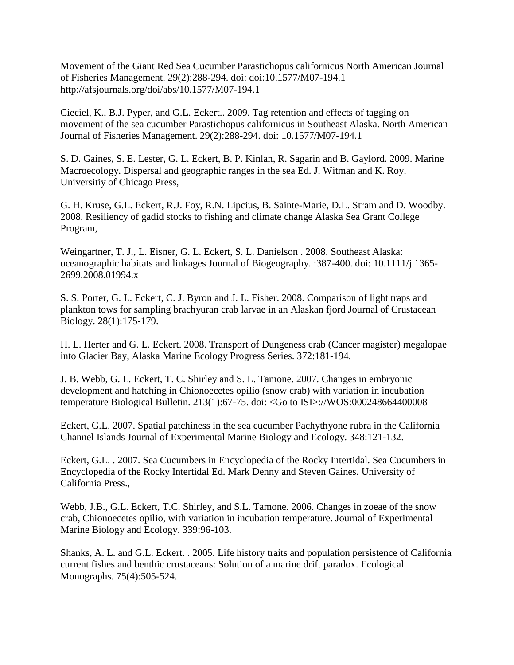Movement of the Giant Red Sea Cucumber Parastichopus californicus North American Journal of Fisheries Management. 29(2):288-294. doi: doi:10.1577/M07-194.1 http://afsjournals.org/doi/abs/10.1577/M07-194.1

Cieciel, K., B.J. Pyper, and G.L. Eckert.. 2009. Tag retention and effects of tagging on movement of the sea cucumber Parastichopus californicus in Southeast Alaska. North American Journal of Fisheries Management. 29(2):288-294. doi: 10.1577/M07-194.1

S. D. Gaines, S. E. Lester, G. L. Eckert, B. P. Kinlan, R. Sagarin and B. Gaylord. 2009. Marine Macroecology. Dispersal and geographic ranges in the sea Ed. J. Witman and K. Roy. Universitiy of Chicago Press,

G. H. Kruse, G.L. Eckert, R.J. Foy, R.N. Lipcius, B. Sainte-Marie, D.L. Stram and D. Woodby. 2008. Resiliency of gadid stocks to fishing and climate change Alaska Sea Grant College Program,

Weingartner, T. J., L. Eisner, G. L. Eckert, S. L. Danielson . 2008. Southeast Alaska: oceanographic habitats and linkages Journal of Biogeography. :387-400. doi: 10.1111/j.1365- 2699.2008.01994.x

S. S. Porter, G. L. Eckert, C. J. Byron and J. L. Fisher. 2008. Comparison of light traps and plankton tows for sampling brachyuran crab larvae in an Alaskan fjord Journal of Crustacean Biology. 28(1):175-179.

H. L. Herter and G. L. Eckert. 2008. Transport of Dungeness crab (Cancer magister) megalopae into Glacier Bay, Alaska Marine Ecology Progress Series. 372:181-194.

J. B. Webb, G. L. Eckert, T. C. Shirley and S. L. Tamone. 2007. Changes in embryonic development and hatching in Chionoecetes opilio (snow crab) with variation in incubation temperature Biological Bulletin. 213(1):67-75. doi: <Go to ISI>://WOS:000248664400008

Eckert, G.L. 2007. Spatial patchiness in the sea cucumber Pachythyone rubra in the California Channel Islands Journal of Experimental Marine Biology and Ecology. 348:121-132.

Eckert, G.L. . 2007. Sea Cucumbers in Encyclopedia of the Rocky Intertidal. Sea Cucumbers in Encyclopedia of the Rocky Intertidal Ed. Mark Denny and Steven Gaines. University of California Press.,

Webb, J.B., G.L. Eckert, T.C. Shirley, and S.L. Tamone. 2006. Changes in zoeae of the snow crab, Chionoecetes opilio, with variation in incubation temperature. Journal of Experimental Marine Biology and Ecology. 339:96-103.

Shanks, A. L. and G.L. Eckert. . 2005. Life history traits and population persistence of California current fishes and benthic crustaceans: Solution of a marine drift paradox. Ecological Monographs. 75(4):505-524.